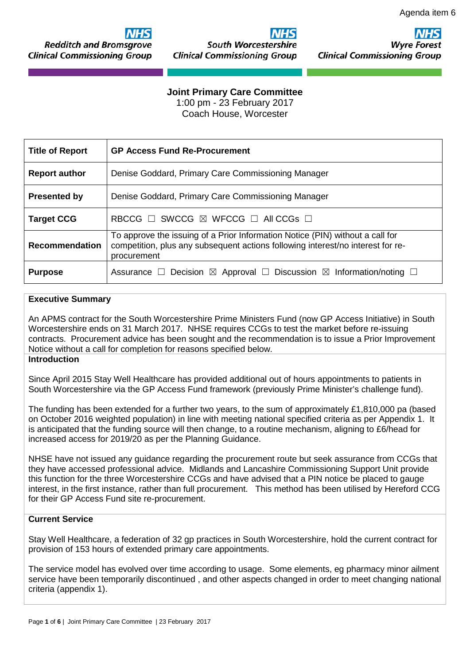**Redditch and Bromsgrove Clinical Commissioning Group** 

# **South Worcestershire**

**Clinical Commissioning Group** 

Wvre Fo **Clinical Commissioning Group** 

# **Joint Primary Care Committee**

1:00 pm - 23 February 2017 Coach House, Worcester

| <b>Title of Report</b> | <b>GP Access Fund Re-Procurement</b>                                                                                                                                            |
|------------------------|---------------------------------------------------------------------------------------------------------------------------------------------------------------------------------|
| <b>Report author</b>   | Denise Goddard, Primary Care Commissioning Manager                                                                                                                              |
| <b>Presented by</b>    | Denise Goddard, Primary Care Commissioning Manager                                                                                                                              |
| <b>Target CCG</b>      | RBCCG $\Box$ SWCCG $\boxtimes$ WFCCG $\Box$ All CCGs $\Box$                                                                                                                     |
| <b>Recommendation</b>  | To approve the issuing of a Prior Information Notice (PIN) without a call for<br>competition, plus any subsequent actions following interest/no interest for re-<br>procurement |
| <b>Purpose</b>         |                                                                                                                                                                                 |

# **Executive Summary**

An APMS contract for the South Worcestershire Prime Ministers Fund (now GP Access Initiative) in South Worcestershire ends on 31 March 2017. NHSE requires CCGs to test the market before re-issuing contracts. Procurement advice has been sought and the recommendation is to issue a Prior Improvement Notice without a call for completion for reasons specified below.

# **Introduction**

Since April 2015 Stay Well Healthcare has provided additional out of hours appointments to patients in South Worcestershire via the GP Access Fund framework (previously Prime Minister's challenge fund).

The funding has been extended for a further two years, to the sum of approximately £1,810,000 pa (based on October 2016 weighted population) in line with meeting national specified criteria as per Appendix 1. It is anticipated that the funding source will then change, to a routine mechanism, aligning to £6/head for increased access for 2019/20 as per the Planning Guidance.

NHSE have not issued any guidance regarding the procurement route but seek assurance from CCGs that they have accessed professional advice. Midlands and Lancashire Commissioning Support Unit provide this function for the three Worcestershire CCGs and have advised that a PIN notice be placed to gauge interest, in the first instance, rather than full procurement. This method has been utilised by Hereford CCG for their GP Access Fund site re-procurement.

#### **Current Service**

Stay Well Healthcare, a federation of 32 gp practices in South Worcestershire, hold the current contract for provision of 153 hours of extended primary care appointments.

The service model has evolved over time according to usage. Some elements, eg pharmacy minor ailment service have been temporarily discontinued , and other aspects changed in order to meet changing national criteria (appendix 1).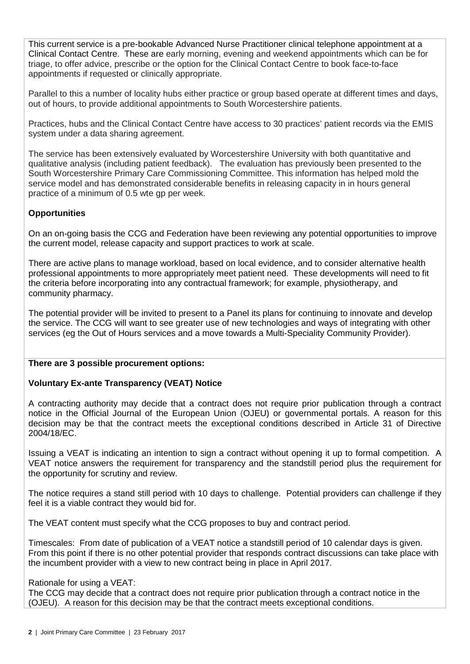This current service is a pre-bookable Advanced Nurse Practitioner clinical telephone appointment at a Clinical Contact Centre. These are early morning, evening and weekend appointments which can be for triage, to offer advice, prescribe or the option for the Clinical Contact Centre to book face-to-face appointments if requested or clinically appropriate.

Parallel to this a number of locality hubs either practice or group based operate at different times and days, out of hours, to provide additional appointments to South Worcestershire patients.

Practices, hubs and the Clinical Contact Centre have access to 30 practices' patient records via the EMIS system under a data sharing agreement.

The service has been extensively evaluated by Worcestershire University with both quantitative and qualitative analysis (including patient feedback). The evaluation has previously been presented to the South Worcestershire Primary Care Commissioning Committee. This information has helped mold the service model and has demonstrated considerable benefits in releasing capacity in in hours general practice of a minimum of 0.5 wte gp per week.

# **Opportunities**

On an on-going basis the CCG and Federation have been reviewing any potential opportunities to improve the current model, release capacity and support practices to work at scale.

There are active plans to manage workload, based on local evidence, and to consider alternative health professional appointments to more appropriately meet patient need. These developments will need to fit the criteria before incorporating into any contractual framework; for example, physiotherapy, and community pharmacy.

The potential provider will be invited to present to a Panel its plans for continuing to innovate and develop the service. The CCG will want to see greater use of new technologies and ways of integrating with other services (eg the Out of Hours services and a move towards a Multi-Speciality Community Provider).

#### **There are 3 possible procurement options:**

#### **Voluntary Ex-ante Transparency (VEAT) Notice**

A contracting authority may decide that a contract does not require prior publication through a contract notice in the Official Journal of the European Union (OJEU) or governmental portals. A reason for this decision may be that the contract meets the exceptional conditions described in Article 31 of Directive 2004/18/EC.

Issuing a VEAT is indicating an intention to sign a contract without opening it up to formal competition. A VEAT notice answers the requirement for transparency and the standstill period plus the requirement for the opportunity for scrutiny and review.

The notice requires a stand still period with 10 days to challenge. Potential providers can challenge if they feel it is a viable contract they would bid for.

The VEAT content must specify what the CCG proposes to buy and contract period.

Timescales: From date of publication of a VEAT notice a standstill period of 10 calendar days is given. From this point if there is no other potential provider that responds contract discussions can take place with the incumbent provider with a view to new contract being in place in April 2017.

#### Rationale for using a VEAT:

The CCG may decide that a contract does not require prior publication through a contract notice in the (OJEU). A reason for this decision may be that the contract meets exceptional conditions.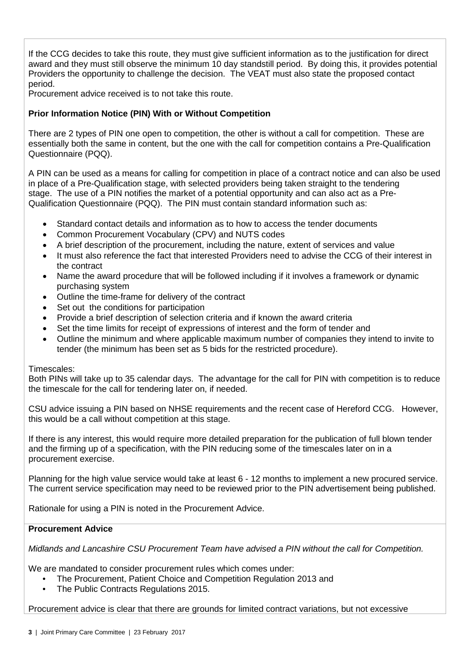If the CCG decides to take this route, they must give sufficient information as to the justification for direct award and they must still observe the minimum 10 day standstill period. By doing this, it provides potential Providers the opportunity to challenge the decision. The VEAT must also state the proposed contact period.

Procurement advice received is to not take this route.

# **Prior Information Notice (PIN) With or Without Competition**

There are 2 types of PIN one open to competition, the other is without a call for competition. These are essentially both the same in content, but the one with the call for competition contains a Pre-Qualification Questionnaire (PQQ).

A PIN can be used as a means for calling for competition in place of a contract notice and can also be used in place of a Pre-Qualification stage, with selected providers being taken straight to the tendering stage. The use of a PIN notifies the market of a potential opportunity and can also act as a Pre-Qualification Questionnaire (PQQ). The PIN must contain standard information such as:

- Standard contact details and information as to how to access the tender documents
- Common Procurement Vocabulary (CPV) and NUTS codes
- A brief description of the procurement, including the nature, extent of services and value
- It must also reference the fact that interested Providers need to advise the CCG of their interest in the contract
- Name the award procedure that will be followed including if it involves a framework or dynamic purchasing system
- Outline the time-frame for delivery of the contract
- Set out the conditions for participation
- Provide a brief description of selection criteria and if known the award criteria
- Set the time limits for receipt of expressions of interest and the form of tender and
- Outline the minimum and where applicable maximum number of companies they intend to invite to tender (the minimum has been set as 5 bids for the restricted procedure).

#### Timescales:

Both PINs will take up to 35 calendar days. The advantage for the call for PIN with competition is to reduce the timescale for the call for tendering later on, if needed.

CSU advice issuing a PIN based on NHSE requirements and the recent case of Hereford CCG. However, this would be a call without competition at this stage.

If there is any interest, this would require more detailed preparation for the publication of full blown tender and the firming up of a specification, with the PIN reducing some of the [timescales](http://www.procurementportal.com/timescaletracker/) later on in a procurement exercise.

Planning for the high value service would take at least 6 - 12 months to implement a new procured service. The current service specification may need to be reviewed prior to the PIN advertisement being published.

Rationale for using a PIN is noted in the Procurement Advice.

#### **Procurement Advice**

*Midlands and Lancashire CSU Procurement Team have advised a PIN without the call for Competition.*

We are mandated to consider procurement rules which comes under:

- The Procurement, Patient Choice and Competition Regulation 2013 and
- The Public Contracts Regulations 2015.

Procurement advice is clear that there are grounds for limited contract variations, but not excessive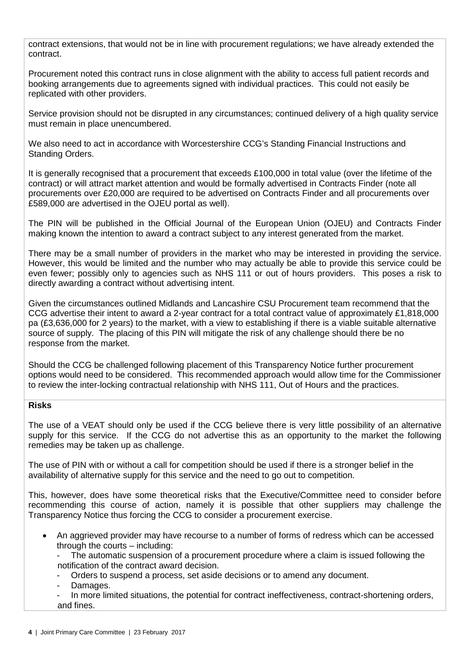contract extensions, that would not be in line with procurement regulations; we have already extended the contract.

Procurement noted this contract runs in close alignment with the ability to access full patient records and booking arrangements due to agreements signed with individual practices. This could not easily be replicated with other providers.

Service provision should not be disrupted in any circumstances; continued delivery of a high quality service must remain in place unencumbered.

We also need to act in accordance with Worcestershire CCG's Standing Financial Instructions and Standing Orders.

It is generally recognised that a procurement that exceeds £100,000 in total value (over the lifetime of the contract) or will attract market attention and would be formally advertised in Contracts Finder (note all procurements over £20,000 are required to be advertised on Contracts Finder and all procurements over £589,000 are advertised in the OJEU portal as well).

The PIN will be published in the Official Journal of the European Union (OJEU) and Contracts Finder making known the intention to award a contract subject to any interest generated from the market.

There may be a small number of providers in the market who may be interested in providing the service. However, this would be limited and the number who may actually be able to provide this service could be even fewer; possibly only to agencies such as NHS 111 or out of hours providers. This poses a risk to directly awarding a contract without advertising intent.

Given the circumstances outlined Midlands and Lancashire CSU Procurement team recommend that the CCG advertise their intent to award a 2-year contract for a total contract value of approximately £1,818,000 pa (£3,636,000 for 2 years) to the market, with a view to establishing if there is a viable suitable alternative source of supply. The placing of this PIN will mitigate the risk of any challenge should there be no response from the market.

Should the CCG be challenged following placement of this Transparency Notice further procurement options would need to be considered. This recommended approach would allow time for the Commissioner to review the inter-locking contractual relationship with NHS 111, Out of Hours and the practices.

#### **Risks**

The use of a VEAT should only be used if the CCG believe there is very little possibility of an alternative supply for this service. If the CCG do not advertise this as an opportunity to the market the following remedies may be taken up as challenge.

The use of PIN with or without a call for competition should be used if there is a stronger belief in the availability of alternative supply for this service and the need to go out to competition.

This, however, does have some theoretical risks that the Executive/Committee need to consider before recommending this course of action, namely it is possible that other suppliers may challenge the Transparency Notice thus forcing the CCG to consider a procurement exercise.

• An aggrieved provider may have recourse to a number of forms of redress which can be accessed through the courts – including:

The automatic suspension of a procurement procedure where a claim is issued following the notification of the contract award decision.

- Orders to suspend a process, set aside decisions or to amend any document.

Damages.

In more limited situations, the potential for contract ineffectiveness, contract-shortening orders, and fines.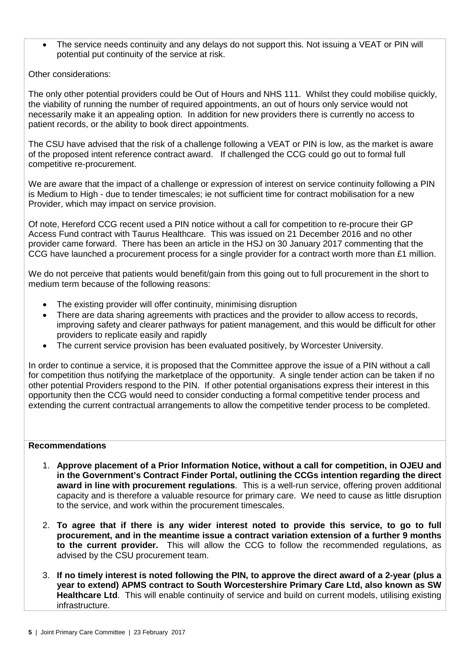• The service needs continuity and any delays do not support this. Not issuing a VEAT or PIN will potential put continuity of the service at risk.

Other considerations:

The only other potential providers could be Out of Hours and NHS 111. Whilst they could mobilise quickly, the viability of running the number of required appointments, an out of hours only service would not necessarily make it an appealing option. In addition for new providers there is currently no access to patient records, or the ability to book direct appointments.

The CSU have advised that the risk of a challenge following a VEAT or PIN is low, as the market is aware of the proposed intent reference contract award. If challenged the CCG could go out to formal full competitive re-procurement.

We are aware that the impact of a challenge or expression of interest on service continuity following a PIN is Medium to High - due to tender timescales; ie not sufficient time for contract mobilisation for a new Provider, which may impact on service provision.

Of note, Hereford CCG recent used a PIN notice without a call for competition to re-procure their GP Access Fund contract with Taurus Healthcare. This was issued on 21 December 2016 and no other provider came forward. There has been an article in the HSJ on 30 January 2017 commenting that the CCG have launched a procurement process for a single provider for a contract worth more than £1 million.

We do not perceive that patients would benefit/gain from this going out to full procurement in the short to medium term because of the following reasons:

- The existing provider will offer continuity, minimising disruption
- There are data sharing agreements with practices and the provider to allow access to records, improving safety and clearer pathways for patient management, and this would be difficult for other providers to replicate easily and rapidly
- The current service provision has been evaluated positively, by Worcester University.

In order to continue a service, it is proposed that the Committee approve the issue of a PIN without a call for competition thus notifying the marketplace of the opportunity. A single tender action can be taken if no other potential Providers respond to the PIN. If other potential organisations express their interest in this opportunity then the CCG would need to consider conducting a formal competitive tender process and extending the current contractual arrangements to allow the competitive tender process to be completed.

### **Recommendations**

- 1. **Approve placement of a Prior Information Notice, without a call for competition, in OJEU and in the Government's Contract Finder Portal, outlining the CCGs intention regarding the direct award in line with procurement regulations**. This is a well-run service, offering proven additional capacity and is therefore a valuable resource for primary care. We need to cause as little disruption to the service, and work within the procurement timescales.
- 2. **To agree that if there is any wider interest noted to provide this service, to go to full procurement, and in the meantime issue a contract variation extension of a further 9 months to the current provider.** This will allow the CCG to follow the recommended regulations, as advised by the CSU procurement team.
- 3. **If no timely interest is noted following the PIN, to approve the direct award of a 2-year (plus a year to extend) APMS contract to South Worcestershire Primary Care Ltd, also known as SW Healthcare Ltd**. This will enable continuity of service and build on current models, utilising existing infrastructure.